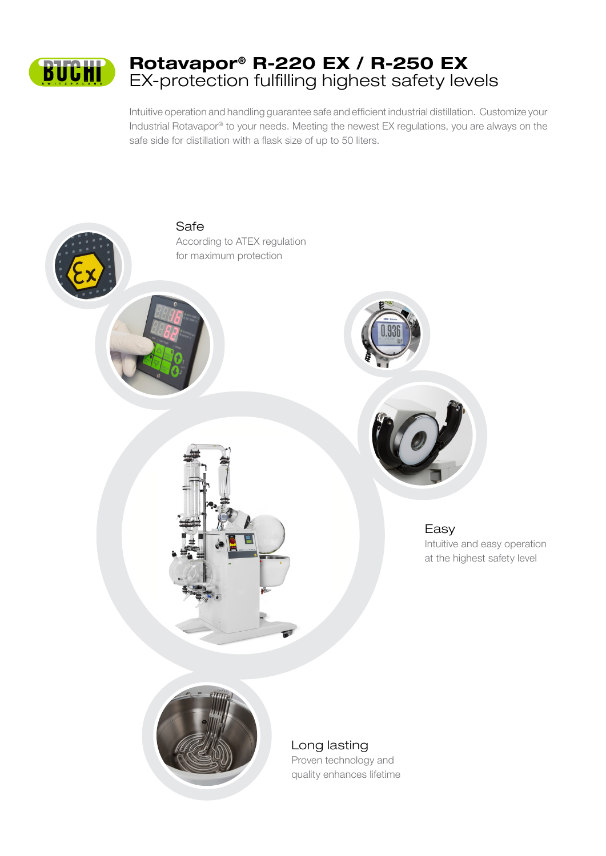

Intuitive operation and handling guarantee safe and efficient industrial distillation. Customize your Industrial Rotavapor® to your needs. Meeting the newest EX regulations, you are always on the safe side for distillation with a flask size of up to 50 liters.



Long lasting Proven technology and quality enhances lifetime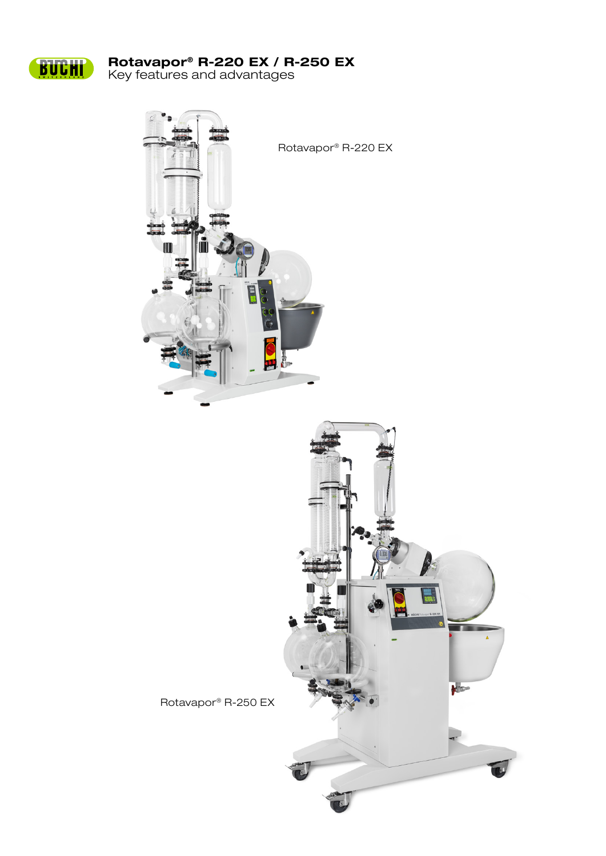

# Rotavapor® R-220 EX / R-250 EX

Key features and advantages

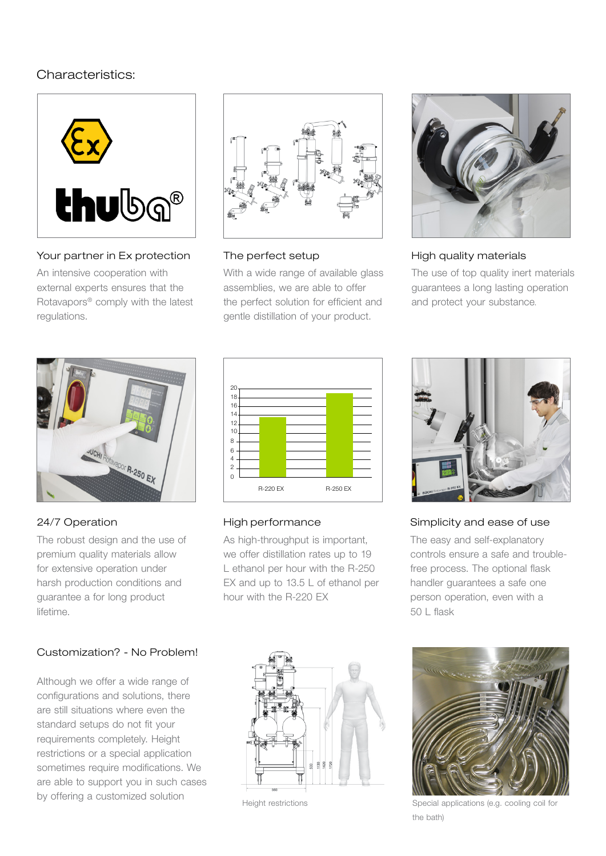## Characteristics:



#### Your partner in Ex protection

An intensive cooperation with external experts ensures that the Rotavapors® comply with the latest regulations.



#### The perfect setup

With a wide range of available glass assemblies, we are able to offer the perfect solution for efficient and gentle distillation of your product.



#### High quality materials

The use of top quality inert materials guarantees a long lasting operation and protect your substance.



#### 24/7 Operation

The robust design and the use of premium quality materials allow for extensive operation under harsh production conditions and guarantee a for long product lifetime.

### Customization? - No Problem!

Although we offer a wide range of configurations and solutions, there are still situations where even the standard setups do not fit your requirements completely. Height restrictions or a special application sometimes require modifications. We are able to support you in such cases by offering a customized solution



#### High performance

As high-throughput is important, we offer distillation rates up to 19 L ethanol per hour with the R-250 EX and up to 13.5 L of ethanol per hour with the R-220 EX



Height restrictions



#### Simplicity and ease of use

The easy and self-explanatory controls ensure a safe and troublefree process. The optional flask handler guarantees a safe one person operation, even with a  $50 \mid$  flask



Special applications (e.g. cooling coil for the bath)